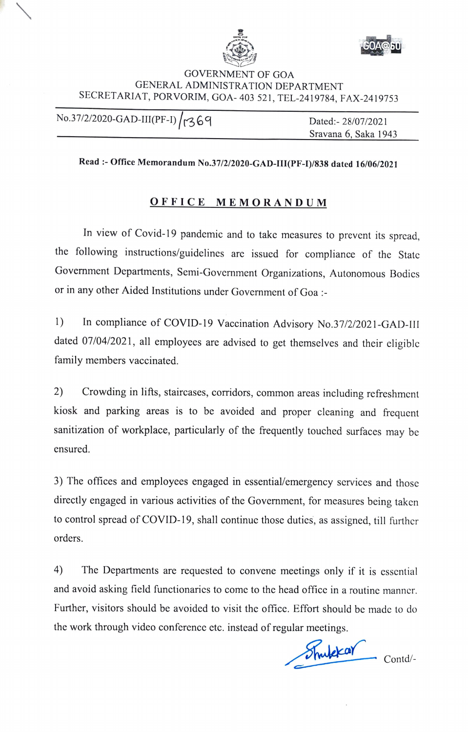



## GOVERNMENT OF GOA GENERAL ADMINISTRATION DEPARTMENT SECRETARIAT, PORVORIM, GOA-403 <sup>521</sup> , TEL-2419784, FAX-2419753

No.37/2/2020-GAD-III(PF-I) / r369 Dated:- 28/07/2021 Sravana 6, Saka 1943

## **Read:- Office Memorandum No.37/2/2020-GAD-III(PF-I)/838 dated 16/06/2021**

## **OFFICE MEMORANDUM**

In view of Covid-19 pandemic and to take measures to prevent its spread, the following instructions/guidelines are issued for compliance of the State Government Departments, Semi-Government Organizations, Autonomous Bodies or in any other Aided Institutions under Government of Goa:-

1) In compliance of COVID-19 Vaccination Advisory No.37/2/2021-GAD-III dated 07/04/2021, all employees are advised to get themselves and their eligible family members vaccinated.

2) Crowding in lifts, staircases, corridors, common areas including refreshment kiosk and parking areas is to be avoided and proper cleaning and frequent sanitization of workplace, particularly of the frequently touched surfaces may be ensured.

3) The offices and employees engaged in essential/emergency services and those directly engaged in various activities of the Government, for measures being taken to control spread of COVID-19, shall continue those duties, as assigned, till further orders.

4) The Departments are requested to convene meetings only if it is essential and avoid asking field functionaries to come to the head office in a routine manner. Further, visitors should be avoided to visit the office. Effort should be made to do the work through video conference etc. instead of regular meetings.

Shutchear Contd/-